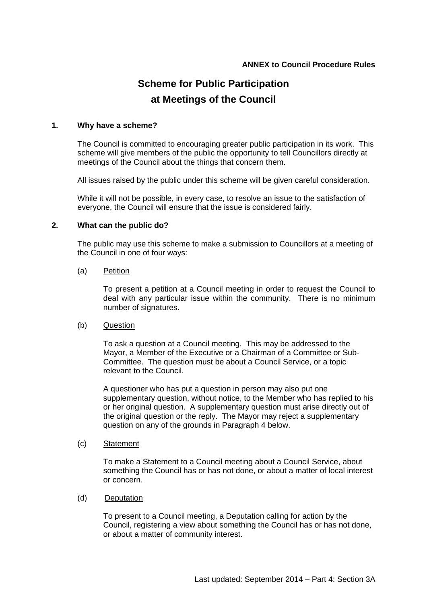## **ANNEX to Council Procedure Rules**

# **Scheme for Public Participation at Meetings of the Council**

## **1. Why have a scheme?**

The Council is committed to encouraging greater public participation in its work. This scheme will give members of the public the opportunity to tell Councillors directly at meetings of the Council about the things that concern them.

All issues raised by the public under this scheme will be given careful consideration.

While it will not be possible, in every case, to resolve an issue to the satisfaction of everyone, the Council will ensure that the issue is considered fairly.

## **2. What can the public do?**

The public may use this scheme to make a submission to Councillors at a meeting of the Council in one of four ways:

#### (a) Petition

To present a petition at a Council meeting in order to request the Council to deal with any particular issue within the community. There is no minimum number of signatures.

#### (b) Question

To ask a question at a Council meeting. This may be addressed to the Mayor, a Member of the Executive or a Chairman of a Committee or Sub-Committee. The question must be about a Council Service, or a topic relevant to the Council.

A questioner who has put a question in person may also put one supplementary question, without notice, to the Member who has replied to his or her original question. A supplementary question must arise directly out of the original question or the reply. The Mayor may reject a supplementary question on any of the grounds in Paragraph 4 below.

(c) Statement

To make a Statement to a Council meeting about a Council Service, about something the Council has or has not done, or about a matter of local interest or concern.

## (d) Deputation

To present to a Council meeting, a Deputation calling for action by the Council, registering a view about something the Council has or has not done, or about a matter of community interest.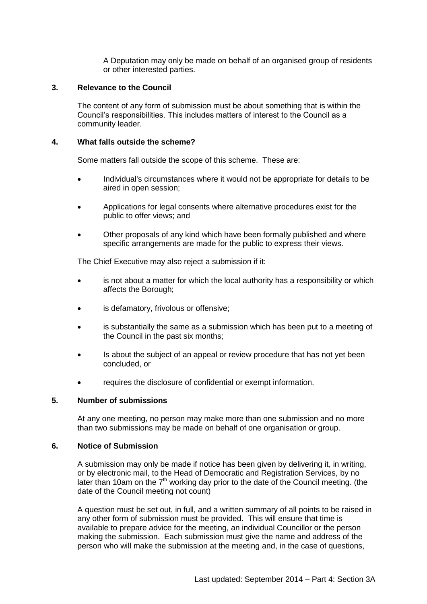A Deputation may only be made on behalf of an organised group of residents or other interested parties.

## **3. Relevance to the Council**

The content of any form of submission must be about something that is within the Council's responsibilities. This includes matters of interest to the Council as a community leader.

## **4. What falls outside the scheme?**

Some matters fall outside the scope of this scheme. These are:

- Individual's circumstances where it would not be appropriate for details to be aired in open session;
- Applications for legal consents where alternative procedures exist for the public to offer views; and
- Other proposals of any kind which have been formally published and where specific arrangements are made for the public to express their views.

The Chief Executive may also reject a submission if it:

- is not about a matter for which the local authority has a responsibility or which affects the Borough;
- is defamatory, frivolous or offensive;
- is substantially the same as a submission which has been put to a meeting of the Council in the past six months;
- Is about the subject of an appeal or review procedure that has not yet been concluded, or
- requires the disclosure of confidential or exempt information.

#### **5. Number of submissions**

At any one meeting, no person may make more than one submission and no more than two submissions may be made on behalf of one organisation or group.

#### **6. Notice of Submission**

A submission may only be made if notice has been given by delivering it, in writing, or by electronic mail, to the Head of Democratic and Registration Services, by no later than 10am on the  $7<sup>th</sup>$  working day prior to the date of the Council meeting. (the date of the Council meeting not count)

A question must be set out, in full, and a written summary of all points to be raised in any other form of submission must be provided. This will ensure that time is available to prepare advice for the meeting, an individual Councillor or the person making the submission. Each submission must give the name and address of the person who will make the submission at the meeting and, in the case of questions,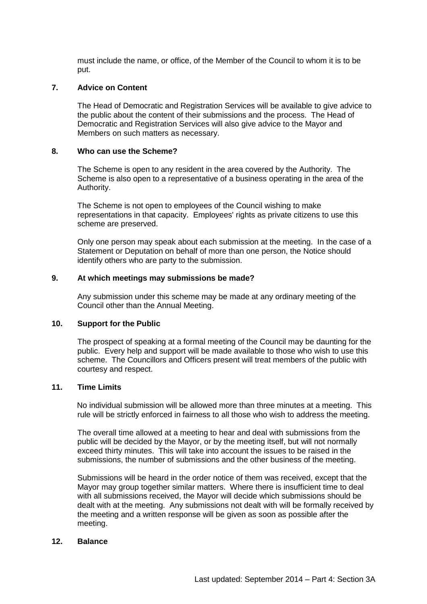must include the name, or office, of the Member of the Council to whom it is to be put.

## **7. Advice on Content**

The Head of Democratic and Registration Services will be available to give advice to the public about the content of their submissions and the process. The Head of Democratic and Registration Services will also give advice to the Mayor and Members on such matters as necessary.

#### **8. Who can use the Scheme?**

The Scheme is open to any resident in the area covered by the Authority. The Scheme is also open to a representative of a business operating in the area of the Authority.

The Scheme is not open to employees of the Council wishing to make representations in that capacity. Employees' rights as private citizens to use this scheme are preserved.

Only one person may speak about each submission at the meeting. In the case of a Statement or Deputation on behalf of more than one person, the Notice should identify others who are party to the submission.

## **9. At which meetings may submissions be made?**

Any submission under this scheme may be made at any ordinary meeting of the Council other than the Annual Meeting.

#### **10. Support for the Public**

The prospect of speaking at a formal meeting of the Council may be daunting for the public. Every help and support will be made available to those who wish to use this scheme. The Councillors and Officers present will treat members of the public with courtesy and respect.

#### **11. Time Limits**

No individual submission will be allowed more than three minutes at a meeting. This rule will be strictly enforced in fairness to all those who wish to address the meeting.

The overall time allowed at a meeting to hear and deal with submissions from the public will be decided by the Mayor, or by the meeting itself, but will not normally exceed thirty minutes. This will take into account the issues to be raised in the submissions, the number of submissions and the other business of the meeting.

Submissions will be heard in the order notice of them was received, except that the Mayor may group together similar matters. Where there is insufficient time to deal with all submissions received, the Mayor will decide which submissions should be dealt with at the meeting. Any submissions not dealt with will be formally received by the meeting and a written response will be given as soon as possible after the meeting.

#### **12. Balance**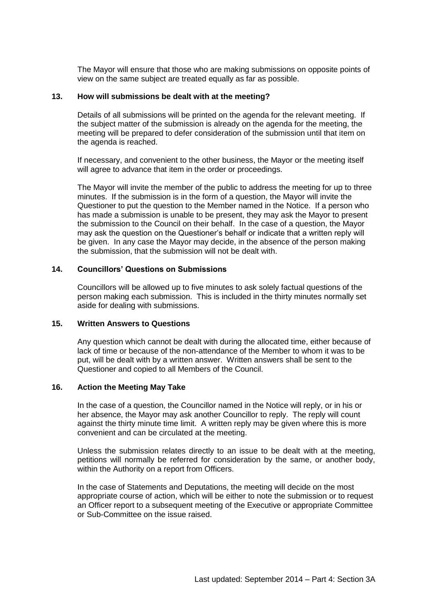The Mayor will ensure that those who are making submissions on opposite points of view on the same subject are treated equally as far as possible.

## **13. How will submissions be dealt with at the meeting?**

Details of all submissions will be printed on the agenda for the relevant meeting. If the subject matter of the submission is already on the agenda for the meeting, the meeting will be prepared to defer consideration of the submission until that item on the agenda is reached.

If necessary, and convenient to the other business, the Mayor or the meeting itself will agree to advance that item in the order or proceedings.

The Mayor will invite the member of the public to address the meeting for up to three minutes. If the submission is in the form of a question, the Mayor will invite the Questioner to put the question to the Member named in the Notice. If a person who has made a submission is unable to be present, they may ask the Mayor to present the submission to the Council on their behalf. In the case of a question, the Mayor may ask the question on the Questioner's behalf or indicate that a written reply will be given. In any case the Mayor may decide, in the absence of the person making the submission, that the submission will not be dealt with.

## **14. Councillors' Questions on Submissions**

Councillors will be allowed up to five minutes to ask solely factual questions of the person making each submission. This is included in the thirty minutes normally set aside for dealing with submissions.

#### **15. Written Answers to Questions**

Any question which cannot be dealt with during the allocated time, either because of lack of time or because of the non-attendance of the Member to whom it was to be put, will be dealt with by a written answer. Written answers shall be sent to the Questioner and copied to all Members of the Council.

#### **16. Action the Meeting May Take**

In the case of a question, the Councillor named in the Notice will reply, or in his or her absence, the Mayor may ask another Councillor to reply. The reply will count against the thirty minute time limit. A written reply may be given where this is more convenient and can be circulated at the meeting.

Unless the submission relates directly to an issue to be dealt with at the meeting, petitions will normally be referred for consideration by the same, or another body, within the Authority on a report from Officers.

In the case of Statements and Deputations, the meeting will decide on the most appropriate course of action, which will be either to note the submission or to request an Officer report to a subsequent meeting of the Executive or appropriate Committee or Sub-Committee on the issue raised.